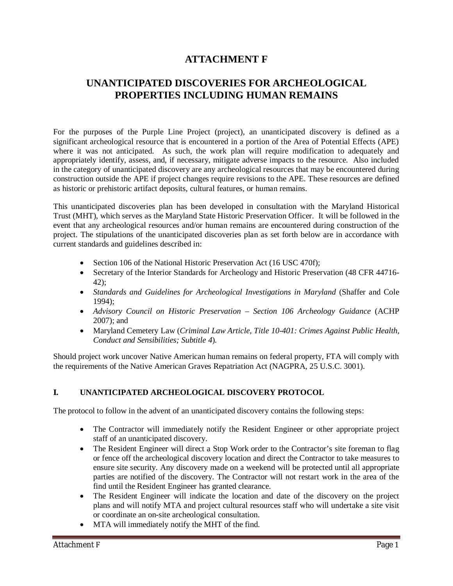## **ATTACHMENT F**

# **UNANTICIPATED DISCOVERIES FOR ARCHEOLOGICAL PROPERTIES INCLUDING HUMAN REMAINS**

For the purposes of the Purple Line Project (project), an unanticipated discovery is defined as a significant archeological resource that is encountered in a portion of the Area of Potential Effects (APE) where it was not anticipated. As such, the work plan will require modification to adequately and appropriately identify, assess, and, if necessary, mitigate adverse impacts to the resource. Also included in the category of unanticipated discovery are any archeological resources that may be encountered during construction outside the APE if project changes require revisions to the APE. These resources are defined as historic or prehistoric artifact deposits, cultural features, or human remains.

This unanticipated discoveries plan has been developed in consultation with the Maryland Historical Trust (MHT), which serves as the Maryland State Historic Preservation Officer. It will be followed in the event that any archeological resources and/or human remains are encountered during construction of the project. The stipulations of the unanticipated discoveries plan as set forth below are in accordance with current standards and guidelines described in:

- Section 106 of the National Historic Preservation Act (16 USC 470f);
- Secretary of the Interior Standards for Archeology and Historic Preservation (48 CFR 44716-42);
- x *Standards and Guidelines for Archeological Investigations in Maryland* (Shaffer and Cole 1994);
- x *Advisory Council on Historic Preservation Section 106 Archeology Guidance* (ACHP 2007); and
- x Maryland Cemetery Law (*Criminal Law Article, Title 10-401: Crimes Against Public Health, Conduct and Sensibilities; Subtitle 4*).

Should project work uncover Native American human remains on federal property, FTA will comply with the requirements of the Native American Graves Repatriation Act (NAGPRA, 25 U.S.C. 3001).

#### **I. UNANTICIPATED ARCHEOLOGICAL DISCOVERY PROTOCOL**

The protocol to follow in the advent of an unanticipated discovery contains the following steps:

- The Contractor will immediately notify the Resident Engineer or other appropriate project staff of an unanticipated discovery.
- The Resident Engineer will direct a Stop Work order to the Contractor's site foreman to flag or fence off the archeological discovery location and direct the Contractor to take measures to ensure site security. Any discovery made on a weekend will be protected until all appropriate parties are notified of the discovery. The Contractor will not restart work in the area of the find until the Resident Engineer has granted clearance.
- The Resident Engineer will indicate the location and date of the discovery on the project plans and will notify MTA and project cultural resources staff who will undertake a site visit or coordinate an on-site archeological consultation.
- MTA will immediately notify the MHT of the find.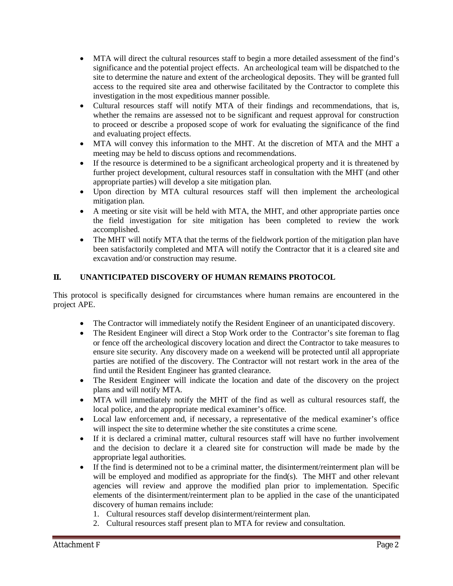- MTA will direct the cultural resources staff to begin a more detailed assessment of the find's significance and the potential project effects. An archeological team will be dispatched to the site to determine the nature and extent of the archeological deposits. They will be granted full access to the required site area and otherwise facilitated by the Contractor to complete this investigation in the most expeditious manner possible.
- Cultural resources staff will notify MTA of their findings and recommendations, that is, whether the remains are assessed not to be significant and request approval for construction to proceed or describe a proposed scope of work for evaluating the significance of the find and evaluating project effects.
- MTA will convey this information to the MHT. At the discretion of MTA and the MHT a meeting may be held to discuss options and recommendations.
- If the resource is determined to be a significant archeological property and it is threatened by further project development, cultural resources staff in consultation with the MHT (and other appropriate parties) will develop a site mitigation plan.
- Upon direction by MTA cultural resources staff will then implement the archeological mitigation plan.
- A meeting or site visit will be held with MTA, the MHT, and other appropriate parties once the field investigation for site mitigation has been completed to review the work accomplished.
- The MHT will notify MTA that the terms of the fieldwork portion of the mitigation plan have been satisfactorily completed and MTA will notify the Contractor that it is a cleared site and excavation and/or construction may resume.

### **II. UNANTICIPATED DISCOVERY OF HUMAN REMAINS PROTOCOL**

This protocol is specifically designed for circumstances where human remains are encountered in the project APE.

- The Contractor will immediately notify the Resident Engineer of an unanticipated discovery.
- The Resident Engineer will direct a Stop Work order to the Contractor's site foreman to flag or fence off the archeological discovery location and direct the Contractor to take measures to ensure site security. Any discovery made on a weekend will be protected until all appropriate parties are notified of the discovery. The Contractor will not restart work in the area of the find until the Resident Engineer has granted clearance.
- The Resident Engineer will indicate the location and date of the discovery on the project plans and will notify MTA.
- MTA will immediately notify the MHT of the find as well as cultural resources staff, the local police, and the appropriate medical examiner's office.
- Local law enforcement and, if necessary, a representative of the medical examiner's office will inspect the site to determine whether the site constitutes a crime scene.
- If it is declared a criminal matter, cultural resources staff will have no further involvement and the decision to declare it a cleared site for construction will made be made by the appropriate legal authorities.
- If the find is determined not to be a criminal matter, the disinterment/reinterment plan will be will be employed and modified as appropriate for the find(s). The MHT and other relevant agencies will review and approve the modified plan prior to implementation. Specific elements of the disinterment/reinterment plan to be applied in the case of the unanticipated discovery of human remains include:
	- 1. Cultural resources staff develop disinterment/reinterment plan.
	- 2. Cultural resources staff present plan to MTA for review and consultation.